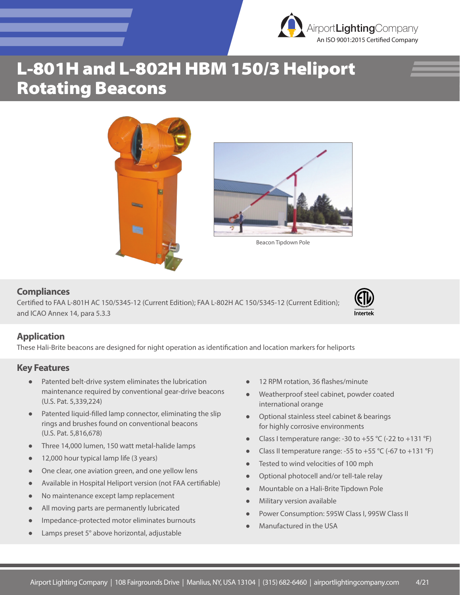# L-801H and L-802H HBM 150/3 Heliport Rotating Beacons





Beacon Tipdown Pole

#### **Compliances**

Certified to FAA L-801H AC 150/5345-12 (Current Edition); FAA L-802H AC 150/5345-12 (Current Edition); and ICAO Annex 14, para 5.3.3



An ISO 9001:2015 Certified Company AirportLightingCompany

### **Application**

These Hali-Brite beacons are designed for night operation as identification and location markers for heliports

#### **Key Features**

- Patented belt-drive system eliminates the lubrication maintenance required by conventional gear-drive beacons (U.S. Pat. 5,339,224)
- Patented liquid-filled lamp connector, eliminating the slip rings and brushes found on conventional beacons (U.S. Pat. 5,816,678)
- Three 14,000 lumen, 150 watt metal-halide lamps
- 12,000 hour typical lamp life (3 years)
- One clear, one aviation green, and one yellow lens
- Available in Hospital Heliport version (not FAA certifiable)
- No maintenance except lamp replacement
- All moving parts are permanently lubricated
- Impedance-protected motor eliminates burnouts
- Lamps preset 5° above horizontal, adjustable
- 12 RPM rotation, 36 flashes/minute
- Weatherproof steel cabinet, powder coated international orange
- Optional stainless steel cabinet & bearings for highly corrosive environments
- Class I temperature range: -30 to +55 °C (-22 to +131 °F)
- Class II temperature range: -55 to +55 °C (-67 to +131 °F)
- Tested to wind velocities of 100 mph
- Optional photocell and/or tell-tale relay
- Mountable on a Hali-Brite Tipdown Pole
- Military version available
- Power Consumption: 595W Class I, 995W Class II
- Manufactured in the USA